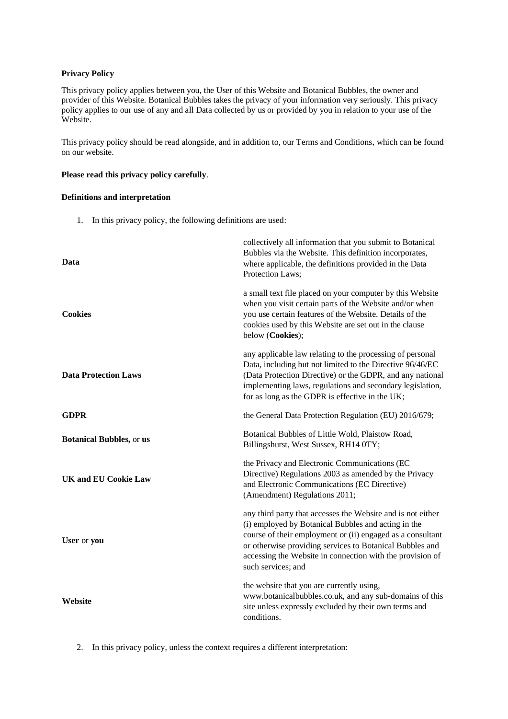# **Privacy Policy**

This privacy policy applies between you, the User of this Website and Botanical Bubbles, the owner and provider of this Website. Botanical Bubbles takes the privacy of your information very seriously. This privacy policy applies to our use of any and all Data collected by us or provided by you in relation to your use of the Website.

This privacy policy should be read alongside, and in addition to, our Terms and Conditions, which can be found on our website.

# **Please read this privacy policy carefully**.

# **Definitions and interpretation**

1. In this privacy policy, the following definitions are used:

| Data                            | collectively all information that you submit to Botanical<br>Bubbles via the Website. This definition incorporates,<br>where applicable, the definitions provided in the Data<br>Protection Laws;                                                                                                                               |
|---------------------------------|---------------------------------------------------------------------------------------------------------------------------------------------------------------------------------------------------------------------------------------------------------------------------------------------------------------------------------|
| <b>Cookies</b>                  | a small text file placed on your computer by this Website<br>when you visit certain parts of the Website and/or when<br>you use certain features of the Website. Details of the<br>cookies used by this Website are set out in the clause<br>below (Cookies);                                                                   |
| <b>Data Protection Laws</b>     | any applicable law relating to the processing of personal<br>Data, including but not limited to the Directive 96/46/EC<br>(Data Protection Directive) or the GDPR, and any national<br>implementing laws, regulations and secondary legislation,<br>for as long as the GDPR is effective in the UK;                             |
| <b>GDPR</b>                     | the General Data Protection Regulation (EU) 2016/679;                                                                                                                                                                                                                                                                           |
| <b>Botanical Bubbles, or us</b> | Botanical Bubbles of Little Wold, Plaistow Road,<br>Billingshurst, West Sussex, RH14 0TY;                                                                                                                                                                                                                                       |
| <b>UK and EU Cookie Law</b>     | the Privacy and Electronic Communications (EC<br>Directive) Regulations 2003 as amended by the Privacy<br>and Electronic Communications (EC Directive)<br>(Amendment) Regulations 2011;                                                                                                                                         |
| User or you                     | any third party that accesses the Website and is not either<br>(i) employed by Botanical Bubbles and acting in the<br>course of their employment or (ii) engaged as a consultant<br>or otherwise providing services to Botanical Bubbles and<br>accessing the Website in connection with the provision of<br>such services; and |
| Website                         | the website that you are currently using,<br>www.botanicalbubbles.co.uk, and any sub-domains of this<br>site unless expressly excluded by their own terms and<br>conditions.                                                                                                                                                    |

2. In this privacy policy, unless the context requires a different interpretation: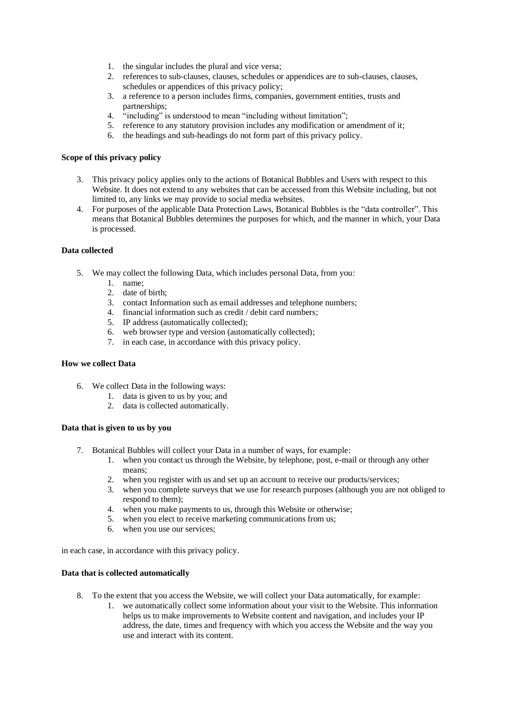- 1. the singular includes the plural and vice versa;
- 2. references to sub-clauses, clauses, schedules or appendices are to sub-clauses, clauses, schedules or appendices of this privacy policy;
- 3. a reference to a person includes firms, companies, government entities, trusts and partnerships;
- 4. "including" is understood to mean "including without limitation";
- 5. reference to any statutory provision includes any modification or amendment of it;
- 6. the headings and sub-headings do not form part of this privacy policy.

#### **Scope of this privacy policy**

- 3. This privacy policy applies only to the actions of Botanical Bubbles and Users with respect to this Website. It does not extend to any websites that can be accessed from this Website including, but not limited to, any links we may provide to social media websites.
- 4. For purposes of the applicable Data Protection Laws, Botanical Bubbles is the "data controller". This means that Botanical Bubbles determines the purposes for which, and the manner in which, your Data is processed.

#### **Data collected**

- 5. We may collect the following Data, which includes personal Data, from you:
	- 1. name;
	- 2. date of birth;
	- 3. contact Information such as email addresses and telephone numbers;
	- 4. financial information such as credit / debit card numbers;
	- 5. IP address (automatically collected);
	- 6. web browser type and version (automatically collected);
	- 7. in each case, in accordance with this privacy policy.

#### **How we collect Data**

- 6. We collect Data in the following ways:
	- 1. data is given to us by you; and
	- 2. data is collected automatically.

#### **Data that is given to us by you**

- 7. Botanical Bubbles will collect your Data in a number of ways, for example:
	- 1. when you contact us through the Website, by telephone, post, e-mail or through any other means;
	- 2. when you register with us and set up an account to receive our products/services;
	- 3. when you complete surveys that we use for research purposes (although you are not obliged to respond to them);
	- 4. when you make payments to us, through this Website or otherwise;
	- 5. when you elect to receive marketing communications from us;
	- 6. when you use our services;

in each case, in accordance with this privacy policy.

#### **Data that is collected automatically**

- 8. To the extent that you access the Website, we will collect your Data automatically, for example:
	- 1. we automatically collect some information about your visit to the Website. This information helps us to make improvements to Website content and navigation, and includes your IP address, the date, times and frequency with which you access the Website and the way you use and interact with its content.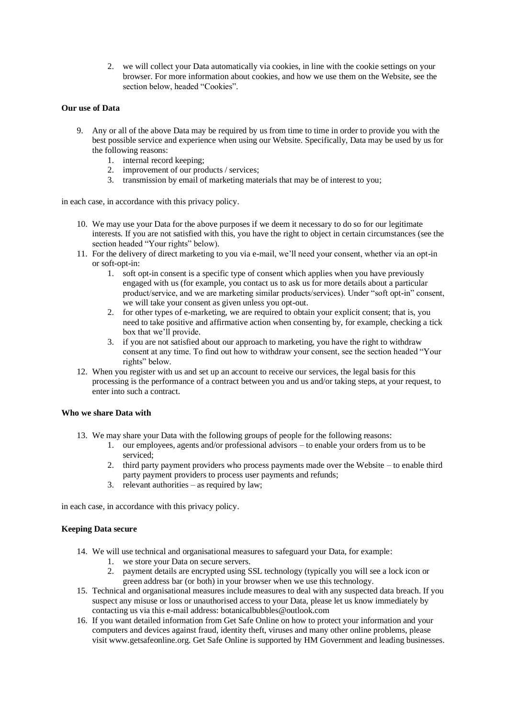2. we will collect your Data automatically via cookies, in line with the cookie settings on your browser. For more information about cookies, and how we use them on the Website, see the section below, headed "Cookies".

### **Our use of Data**

- 9. Any or all of the above Data may be required by us from time to time in order to provide you with the best possible service and experience when using our Website. Specifically, Data may be used by us for the following reasons:
	- 1. internal record keeping;
	- 2. improvement of our products / services;
	- 3. transmission by email of marketing materials that may be of interest to you;

in each case, in accordance with this privacy policy.

- 10. We may use your Data for the above purposes if we deem it necessary to do so for our legitimate interests. If you are not satisfied with this, you have the right to object in certain circumstances (see the section headed "Your rights" below).
- 11. For the delivery of direct marketing to you via e-mail, we'll need your consent, whether via an opt-in or soft-opt-in:
	- 1. soft opt-in consent is a specific type of consent which applies when you have previously engaged with us (for example, you contact us to ask us for more details about a particular product/service, and we are marketing similar products/services). Under "soft opt-in" consent, we will take your consent as given unless you opt-out.
	- 2. for other types of e-marketing, we are required to obtain your explicit consent; that is, you need to take positive and affirmative action when consenting by, for example, checking a tick box that we'll provide.
	- 3. if you are not satisfied about our approach to marketing, you have the right to withdraw consent at any time. To find out how to withdraw your consent, see the section headed "Your rights" below.
- 12. When you register with us and set up an account to receive our services, the legal basis for this processing is the performance of a contract between you and us and/or taking steps, at your request, to enter into such a contract.

### **Who we share Data with**

- 13. We may share your Data with the following groups of people for the following reasons:
	- 1. our employees, agents and/or professional advisors to enable your orders from us to be serviced;
	- 2. third party payment providers who process payments made over the Website to enable third party payment providers to process user payments and refunds;
	- 3. relevant authorities as required by law;

in each case, in accordance with this privacy policy.

### **Keeping Data secure**

- 14. We will use technical and organisational measures to safeguard your Data, for example:
	- 1. we store your Data on secure servers.
	- 2. payment details are encrypted using SSL technology (typically you will see a lock icon or green address bar (or both) in your browser when we use this technology.
- 15. Technical and organisational measures include measures to deal with any suspected data breach. If you suspect any misuse or loss or unauthorised access to your Data, please let us know immediately by contacting us via this e-mail address: botanicalbubbles@outlook.com
- 16. If you want detailed information from Get Safe Online on how to protect your information and your computers and devices against fraud, identity theft, viruses and many other online problems, please visit www.getsafeonline.org. Get Safe Online is supported by HM Government and leading businesses.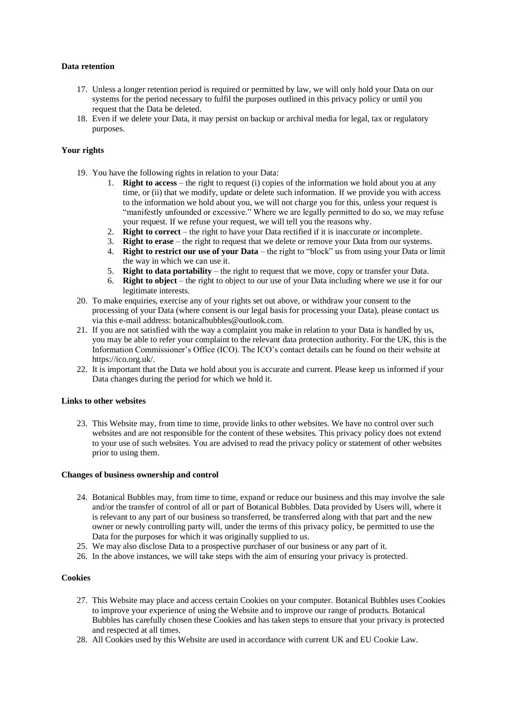# **Data retention**

- 17. Unless a longer retention period is required or permitted by law, we will only hold your Data on our systems for the period necessary to fulfil the purposes outlined in this privacy policy or until you request that the Data be deleted.
- 18. Even if we delete your Data, it may persist on backup or archival media for legal, tax or regulatory purposes.

# **Your rights**

- 19. You have the following rights in relation to your Data:
	- 1. **Right to access** the right to request (i) copies of the information we hold about you at any time, or (ii) that we modify, update or delete such information. If we provide you with access to the information we hold about you, we will not charge you for this, unless your request is "manifestly unfounded or excessive." Where we are legally permitted to do so, we may refuse your request. If we refuse your request, we will tell you the reasons why.
	- 2. **Right to correct** the right to have your Data rectified if it is inaccurate or incomplete.
	- 3. **Right to erase** the right to request that we delete or remove your Data from our systems.
	- 4. **Right to restrict our use of your Data** the right to "block" us from using your Data or limit the way in which we can use it.
	- 5. **Right to data portability** the right to request that we move, copy or transfer your Data.
	- 6. **Right to object** the right to object to our use of your Data including where we use it for our legitimate interests.
- 20. To make enquiries, exercise any of your rights set out above, or withdraw your consent to the processing of your Data (where consent is our legal basis for processing your Data), please contact us via this e-mail address: botanicalbubbles@outlook.com.
- 21. If you are not satisfied with the way a complaint you make in relation to your Data is handled by us, you may be able to refer your complaint to the relevant data protection authority. For the UK, this is the Information Commissioner's Office (ICO). The ICO's contact details can be found on their website at https://ico.org.uk/.
- 22. It is important that the Data we hold about you is accurate and current. Please keep us informed if your Data changes during the period for which we hold it.

### **Links to other websites**

23. This Website may, from time to time, provide links to other websites. We have no control over such websites and are not responsible for the content of these websites. This privacy policy does not extend to your use of such websites. You are advised to read the privacy policy or statement of other websites prior to using them.

### **Changes of business ownership and control**

- 24. Botanical Bubbles may, from time to time, expand or reduce our business and this may involve the sale and/or the transfer of control of all or part of Botanical Bubbles. Data provided by Users will, where it is relevant to any part of our business so transferred, be transferred along with that part and the new owner or newly controlling party will, under the terms of this privacy policy, be permitted to use the Data for the purposes for which it was originally supplied to us.
- 25. We may also disclose Data to a prospective purchaser of our business or any part of it.
- 26. In the above instances, we will take steps with the aim of ensuring your privacy is protected.

### **Cookies**

- 27. This Website may place and access certain Cookies on your computer. Botanical Bubbles uses Cookies to improve your experience of using the Website and to improve our range of products. Botanical Bubbles has carefully chosen these Cookies and has taken steps to ensure that your privacy is protected and respected at all times.
- 28. All Cookies used by this Website are used in accordance with current UK and EU Cookie Law.